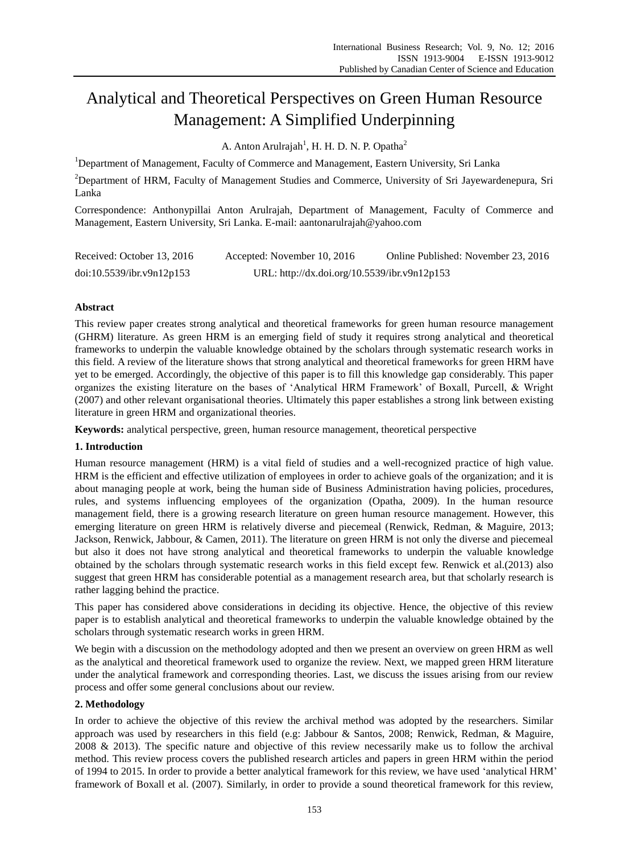# Analytical and Theoretical Perspectives on Green Human Resource Management: A Simplified Underpinning

A. Anton Arulrajah<sup>1</sup>, H. H. D. N. P. Opatha<sup>2</sup>

<sup>1</sup>Department of Management, Faculty of Commerce and Management, Eastern University, Sri Lanka

<sup>2</sup>Department of HRM, Faculty of Management Studies and Commerce, University of Sri Jayewardenepura, Sri Lanka

Correspondence: Anthonypillai Anton Arulrajah, Department of Management, Faculty of Commerce and Management, Eastern University, Sri Lanka. E-mail: aantonarulrajah@yahoo.com

| Received: October 13, 2016 | Accepted: November 10, 2016                  | Online Published: November 23, 2016 |
|----------------------------|----------------------------------------------|-------------------------------------|
| doi:10.5539/ibr.v9n12p153  | URL: http://dx.doi.org/10.5539/ibr.v9n12p153 |                                     |

## **Abstract**

This review paper creates strong analytical and theoretical frameworks for green human resource management (GHRM) literature. As green HRM is an emerging field of study it requires strong analytical and theoretical frameworks to underpin the valuable knowledge obtained by the scholars through systematic research works in this field. A review of the literature shows that strong analytical and theoretical frameworks for green HRM have yet to be emerged. Accordingly, the objective of this paper is to fill this knowledge gap considerably. This paper organizes the existing literature on the bases of "Analytical HRM Framework" of Boxall, Purcell, & Wright (2007) and other relevant organisational theories. Ultimately this paper establishes a strong link between existing literature in green HRM and organizational theories.

**Keywords:** analytical perspective, green, human resource management, theoretical perspective

## **1. Introduction**

Human resource management (HRM) is a vital field of studies and a well-recognized practice of high value. HRM is the efficient and effective utilization of employees in order to achieve goals of the organization; and it is about managing people at work, being the human side of Business Administration having policies, procedures, rules, and systems influencing employees of the organization (Opatha, 2009). In the human resource management field, there is a growing research literature on green human resource management. However, this emerging literature on green HRM is relatively diverse and piecemeal (Renwick, Redman, & Maguire, 2013; Jackson, Renwick, Jabbour, & Camen, 2011). The literature on green HRM is not only the diverse and piecemeal but also it does not have strong analytical and theoretical frameworks to underpin the valuable knowledge obtained by the scholars through systematic research works in this field except few. Renwick et al.(2013) also suggest that green HRM has considerable potential as a management research area, but that scholarly research is rather lagging behind the practice.

This paper has considered above considerations in deciding its objective. Hence, the objective of this review paper is to establish analytical and theoretical frameworks to underpin the valuable knowledge obtained by the scholars through systematic research works in green HRM.

We begin with a discussion on the methodology adopted and then we present an overview on green HRM as well as the analytical and theoretical framework used to organize the review. Next, we mapped green HRM literature under the analytical framework and corresponding theories. Last, we discuss the issues arising from our review process and offer some general conclusions about our review.

## **2. Methodology**

In order to achieve the objective of this review the archival method was adopted by the researchers. Similar approach was used by researchers in this field (e.g: Jabbour & Santos, 2008; Renwick, Redman, & Maguire, 2008 & 2013). The specific nature and objective of this review necessarily make us to follow the archival method. This review process covers the published research articles and papers in green HRM within the period of 1994 to 2015. In order to provide a better analytical framework for this review, we have used "analytical HRM" framework of Boxall et al. (2007). Similarly, in order to provide a sound theoretical framework for this review,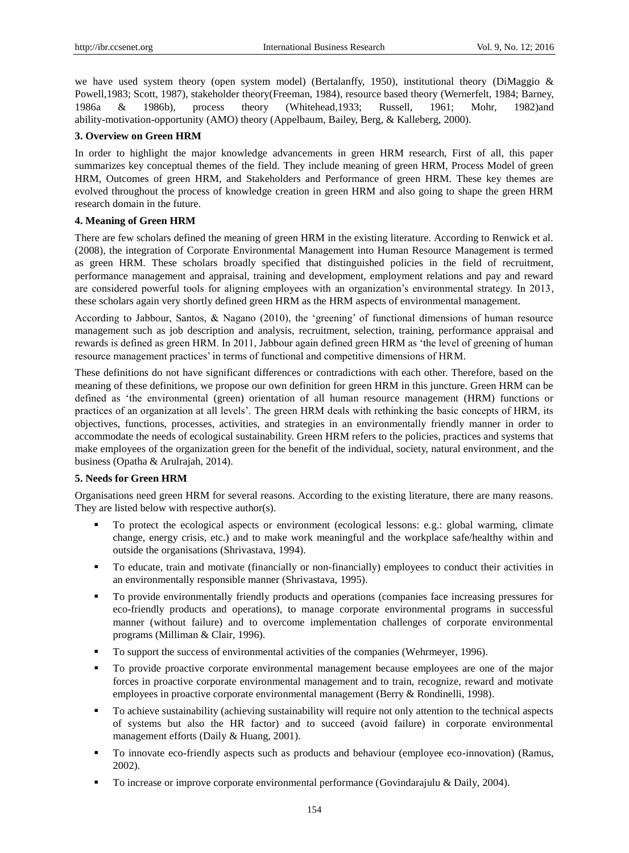we have used system theory (open system model) (Bertalanffy, 1950), institutional theory (DiMaggio  $\&$ Powell,1983; Scott, 1987), stakeholder theory(Freeman, 1984), resource based theory (Wernerfelt, 1984; Barney, 1986a & 1986b), process theory (Whitehead,1933; Russell, 1961; Mohr, 1982)and ability-motivation-opportunity (AMO) theory (Appelbaum, Bailey, Berg, & Kalleberg, 2000).

#### **3. Overview on Green HRM**

In order to highlight the major knowledge advancements in green HRM research, First of all, this paper summarizes key conceptual themes of the field. They include meaning of green HRM, Process Model of green HRM, Outcomes of green HRM, and Stakeholders and Performance of green HRM. These key themes are evolved throughout the process of knowledge creation in green HRM and also going to shape the green HRM research domain in the future.

#### **4. Meaning of Green HRM**

There are few scholars defined the meaning of green HRM in the existing literature. According to Renwick et al. (2008), the integration of Corporate Environmental Management into Human Resource Management is termed as green HRM. These scholars broadly specified that distinguished policies in the field of recruitment, performance management and appraisal, training and development, employment relations and pay and reward are considered powerful tools for aligning employees with an organization"s environmental strategy. In 2013, these scholars again very shortly defined green HRM as the HRM aspects of environmental management.

According to Jabbour, Santos, & Nagano (2010), the "greening" of functional dimensions of human resource management such as job description and analysis, recruitment, selection, training, performance appraisal and rewards is defined as green HRM. In 2011, Jabbour again defined green HRM as "the level of greening of human resource management practices" in terms of functional and competitive dimensions of HRM.

These definitions do not have significant differences or contradictions with each other. Therefore, based on the meaning of these definitions, we propose our own definition for green HRM in this juncture. Green HRM can be defined as "the environmental (green) orientation of all human resource management (HRM) functions or practices of an organization at all levels". The green HRM deals with rethinking the basic concepts of HRM, its objectives, functions, processes, activities, and strategies in an environmentally friendly manner in order to accommodate the needs of ecological sustainability. Green HRM refers to the policies, practices and systems that make employees of the organization green for the benefit of the individual, society, natural environment, and the business (Opatha & Arulrajah, 2014).

## **5. Needs for Green HRM**

Organisations need green HRM for several reasons. According to the existing literature, there are many reasons. They are listed below with respective author(s).

- To protect the ecological aspects or environment (ecological lessons: e.g.: global warming, climate change, energy crisis, etc.) and to make work meaningful and the workplace safe/healthy within and outside the organisations (Shrivastava, 1994).
- To educate, train and motivate (financially or non-financially) employees to conduct their activities in an environmentally responsible manner (Shrivastava, 1995).
- To provide environmentally friendly products and operations (companies face increasing pressures for eco-friendly products and operations), to manage corporate environmental programs in successful manner (without failure) and to overcome implementation challenges of corporate environmental programs (Milliman & Clair, 1996).
- To support the success of environmental activities of the companies (Wehrmeyer, 1996).
- To provide proactive corporate environmental management because employees are one of the major forces in proactive corporate environmental management and to train, recognize, reward and motivate employees in proactive corporate environmental management (Berry & Rondinelli, 1998).
- To achieve sustainability (achieving sustainability will require not only attention to the technical aspects of systems but also the HR factor) and to succeed (avoid failure) in corporate environmental management efforts (Daily & Huang, 2001).
- To innovate eco-friendly aspects such as products and behaviour (employee eco-innovation) (Ramus, 2002).
- To increase or improve corporate environmental performance (Govindarajulu & Daily, 2004).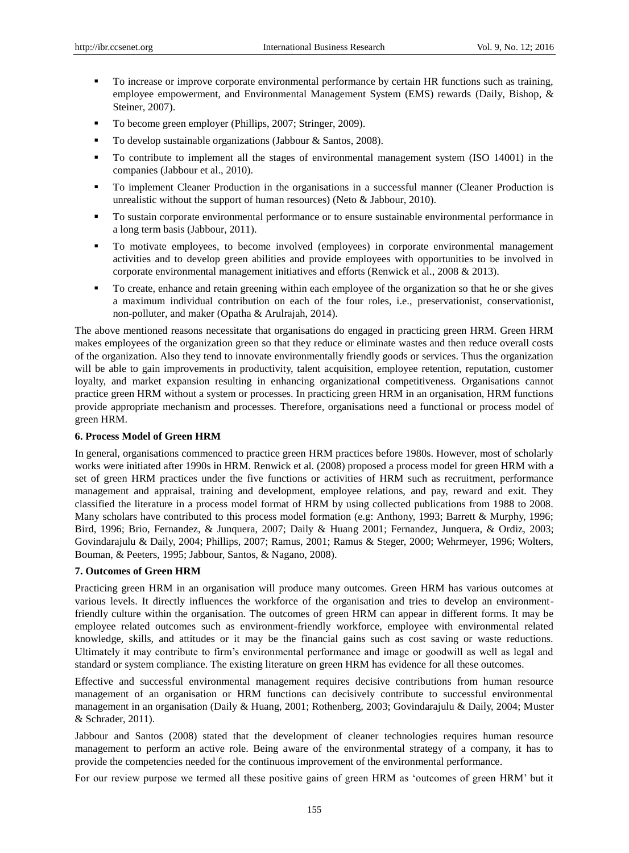- To increase or improve corporate environmental performance by certain HR functions such as training, employee empowerment, and Environmental Management System (EMS) rewards (Daily, Bishop, & Steiner, 2007).
- To become green employer (Phillips, 2007; Stringer, 2009).
- To develop sustainable organizations (Jabbour & Santos, 2008).
- To contribute to implement all the stages of environmental management system (ISO 14001) in the companies (Jabbour et al., 2010).
- To implement Cleaner Production in the organisations in a successful manner (Cleaner Production is unrealistic without the support of human resources) (Neto & Jabbour, 2010).
- To sustain corporate environmental performance or to ensure sustainable environmental performance in a long term basis (Jabbour, 2011).
- To motivate employees, to become involved (employees) in corporate environmental management activities and to develop green abilities and provide employees with opportunities to be involved in corporate environmental management initiatives and efforts (Renwick et al., 2008 & 2013).
- To create, enhance and retain greening within each employee of the organization so that he or she gives a maximum individual contribution on each of the four roles, i.e., preservationist, conservationist, non-polluter, and maker (Opatha & Arulrajah, 2014).

The above mentioned reasons necessitate that organisations do engaged in practicing green HRM. Green HRM makes employees of the organization green so that they reduce or eliminate wastes and then reduce overall costs of the organization. Also they tend to innovate environmentally friendly goods or services. Thus the organization will be able to gain improvements in productivity, talent acquisition, employee retention, reputation, customer loyalty, and market expansion resulting in enhancing organizational competitiveness. Organisations cannot practice green HRM without a system or processes. In practicing green HRM in an organisation, HRM functions provide appropriate mechanism and processes. Therefore, organisations need a functional or process model of green HRM.

## **6. Process Model of Green HRM**

In general, organisations commenced to practice green HRM practices before 1980s. However, most of scholarly works were initiated after 1990s in HRM. Renwick et al. (2008) proposed a process model for green HRM with a set of green HRM practices under the five functions or activities of HRM such as recruitment, performance management and appraisal, training and development, employee relations, and pay, reward and exit. They classified the literature in a process model format of HRM by using collected publications from 1988 to 2008. Many scholars have contributed to this process model formation (e.g: Anthony, 1993; Barrett & Murphy, 1996; Bird, 1996; Brio, Fernandez, & Junquera, 2007; Daily & Huang 2001; Fernandez, Junquera, & Ordiz, 2003; Govindarajulu & Daily, 2004; Phillips, 2007; Ramus, 2001; Ramus & Steger, 2000; Wehrmeyer, 1996; Wolters, Bouman, & Peeters, 1995; Jabbour, Santos, & Nagano, 2008).

## **7. Outcomes of Green HRM**

Practicing green HRM in an organisation will produce many outcomes. Green HRM has various outcomes at various levels. It directly influences the workforce of the organisation and tries to develop an environmentfriendly culture within the organisation. The outcomes of green HRM can appear in different forms. It may be employee related outcomes such as environment-friendly workforce, employee with environmental related knowledge, skills, and attitudes or it may be the financial gains such as cost saving or waste reductions. Ultimately it may contribute to firm"s environmental performance and image or goodwill as well as legal and standard or system compliance. The existing literature on green HRM has evidence for all these outcomes.

Effective and successful environmental management requires decisive contributions from human resource management of an organisation or HRM functions can decisively contribute to successful environmental management in an organisation (Daily & Huang, 2001; Rothenberg, 2003; Govindarajulu & Daily, 2004; Muster & Schrader, 2011).

Jabbour and Santos (2008) stated that the development of cleaner technologies requires human resource management to perform an active role. Being aware of the environmental strategy of a company, it has to provide the competencies needed for the continuous improvement of the environmental performance.

For our review purpose we termed all these positive gains of green HRM as "outcomes of green HRM" but it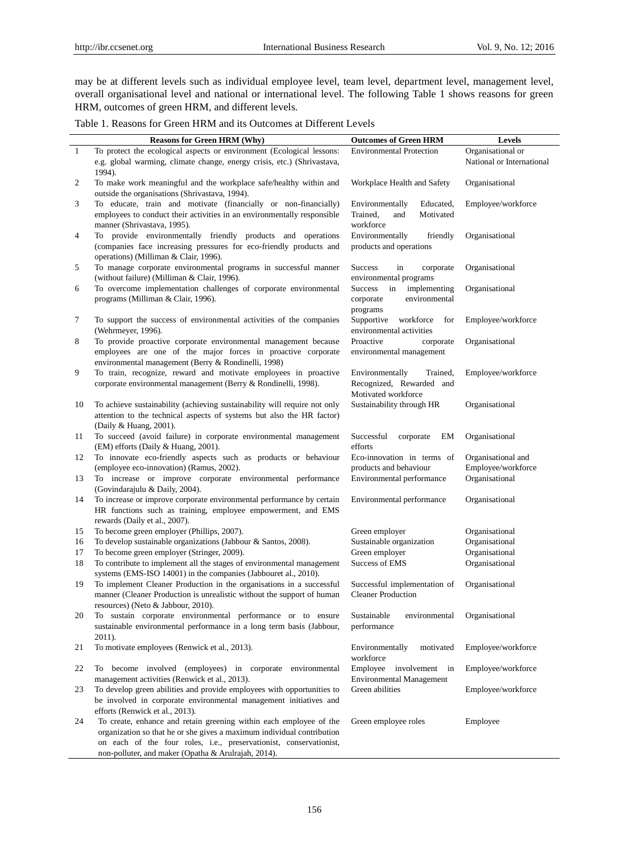may be at different levels such as individual employee level, team level, department level, management level, overall organisational level and national or international level. The following Table 1 shows reasons for green HRM, outcomes of green HRM, and different levels.

| Table 1. Reasons for Green HRM and its Outcomes at Different Levels |  |
|---------------------------------------------------------------------|--|
|---------------------------------------------------------------------|--|

|              | <b>Reasons for Green HRM (Why)</b>                                                                                                                                                                                                                                        | <b>Outcomes of Green HRM</b>                                                   | Levels                                         |
|--------------|---------------------------------------------------------------------------------------------------------------------------------------------------------------------------------------------------------------------------------------------------------------------------|--------------------------------------------------------------------------------|------------------------------------------------|
| $\mathbf{1}$ | To protect the ecological aspects or environment (Ecological lessons:<br>e.g. global warming, climate change, energy crisis, etc.) (Shrivastava,                                                                                                                          | <b>Environmental Protection</b>                                                | Organisational or<br>National or International |
| 2            | 1994).<br>To make work meaningful and the workplace safe/healthy within and                                                                                                                                                                                               | Workplace Health and Safety                                                    | Organisational                                 |
| 3            | outside the organisations (Shrivastava, 1994).<br>To educate, train and motivate (financially or non-financially)                                                                                                                                                         | Environmentally<br>Educated,                                                   | Employee/workforce                             |
|              | employees to conduct their activities in an environmentally responsible<br>manner (Shrivastava, 1995).                                                                                                                                                                    | Trained,<br>and<br>Motivated<br>workforce                                      |                                                |
| 4            | To provide environmentally friendly products and operations<br>(companies face increasing pressures for eco-friendly products and<br>operations) (Milliman & Clair, 1996).                                                                                                | Environmentally<br>friendly<br>products and operations                         | Organisational                                 |
| 5            | To manage corporate environmental programs in successful manner<br>(without failure) (Milliman & Clair, 1996).                                                                                                                                                            | <b>Success</b><br>in<br>corporate<br>environmental programs                    | Organisational                                 |
| 6            | To overcome implementation challenges of corporate environmental<br>programs (Milliman & Clair, 1996).                                                                                                                                                                    | <b>Success</b><br>in<br>implementing<br>environmental<br>corporate<br>programs | Organisational                                 |
| 7            | To support the success of environmental activities of the companies<br>(Wehrmeyer, 1996).                                                                                                                                                                                 | Supportive<br>workforce<br>for<br>environmental activities                     | Employee/workforce                             |
| 8            | To provide proactive corporate environmental management because<br>employees are one of the major forces in proactive corporate<br>environmental management (Berry & Rondinelli, 1998)                                                                                    | Proactive<br>corporate<br>environmental management                             | Organisational                                 |
| 9            | To train, recognize, reward and motivate employees in proactive<br>corporate environmental management (Berry & Rondinelli, 1998).                                                                                                                                         | Environmentally<br>Trained,<br>Recognized, Rewarded and<br>Motivated workforce | Employee/workforce                             |
| 10           | To achieve sustainability (achieving sustainability will require not only<br>attention to the technical aspects of systems but also the HR factor)<br>(Daily & Huang, 2001).                                                                                              | Sustainability through HR                                                      | Organisational                                 |
| 11           | To succeed (avoid failure) in corporate environmental management<br>(EM) efforts (Daily & Huang, 2001).                                                                                                                                                                   | Successful<br>EM<br>corporate<br>efforts                                       | Organisational                                 |
| 12           | To innovate eco-friendly aspects such as products or behaviour<br>(employee eco-innovation) (Ramus, 2002).                                                                                                                                                                | Eco-innovation in terms of<br>products and behaviour                           | Organisational and<br>Employee/workforce       |
| 13           | To increase or improve corporate environmental performance<br>(Govindarajulu & Daily, 2004).                                                                                                                                                                              | Environmental performance                                                      | Organisational                                 |
| 14           | To increase or improve corporate environmental performance by certain<br>HR functions such as training, employee empowerment, and EMS<br>rewards (Daily et al., 2007).                                                                                                    | Environmental performance                                                      | Organisational                                 |
| 15           | To become green employer (Phillips, 2007).                                                                                                                                                                                                                                | Green employer                                                                 | Organisational                                 |
| 16           | To develop sustainable organizations (Jabbour & Santos, 2008).                                                                                                                                                                                                            | Sustainable organization                                                       | Organisational                                 |
| 17           | To become green employer (Stringer, 2009).                                                                                                                                                                                                                                | Green employer                                                                 | Organisational                                 |
| 18           | To contribute to implement all the stages of environmental management<br>systems (EMS-ISO 14001) in the companies (Jabbouret al., 2010).                                                                                                                                  | Success of EMS                                                                 | Organisational                                 |
| 19           | To implement Cleaner Production in the organisations in a successful<br>manner (Cleaner Production is unrealistic without the support of human<br>resources) (Neto & Jabbour, 2010).                                                                                      | Successful implementation of<br><b>Cleaner Production</b>                      | Organisational                                 |
| 20           | sustain corporate environmental performance or to ensure<br>To<br>sustainable environmental performance in a long term basis (Jabbour,<br>2011).                                                                                                                          | Sustainable<br>environmental<br>performance                                    | Organisational                                 |
| 21           | To motivate employees (Renwick et al., 2013).                                                                                                                                                                                                                             | Environmentally<br>motivated<br>workforce                                      | Employee/workforce                             |
| 22           | To become involved (employees) in corporate environmental<br>management activities (Renwick et al., 2013).                                                                                                                                                                | Employee involvement in<br><b>Environmental Management</b>                     | Employee/workforce                             |
| 23           | To develop green abilities and provide employees with opportunities to<br>be involved in corporate environmental management initiatives and<br>efforts (Renwick et al., 2013).                                                                                            | Green abilities                                                                | Employee/workforce                             |
| 24           | To create, enhance and retain greening within each employee of the<br>organization so that he or she gives a maximum individual contribution<br>on each of the four roles, i.e., preservationist, conservationist,<br>non-polluter, and maker (Opatha & Arulrajah, 2014). | Green employee roles                                                           | Employee                                       |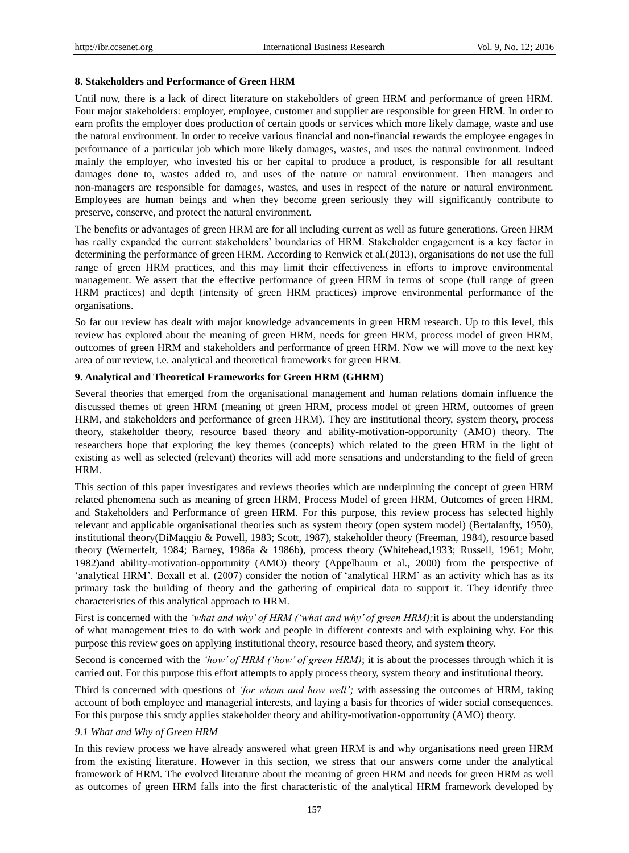#### **8. Stakeholders and Performance of Green HRM**

Until now, there is a lack of direct literature on stakeholders of green HRM and performance of green HRM. Four major stakeholders: employer, employee, customer and supplier are responsible for green HRM. In order to earn profits the employer does production of certain goods or services which more likely damage, waste and use the natural environment. In order to receive various financial and non-financial rewards the employee engages in performance of a particular job which more likely damages, wastes, and uses the natural environment. Indeed mainly the employer, who invested his or her capital to produce a product, is responsible for all resultant damages done to, wastes added to, and uses of the nature or natural environment. Then managers and non-managers are responsible for damages, wastes, and uses in respect of the nature or natural environment. Employees are human beings and when they become green seriously they will significantly contribute to preserve, conserve, and protect the natural environment.

The benefits or advantages of green HRM are for all including current as well as future generations. Green HRM has really expanded the current stakeholders' boundaries of HRM. Stakeholder engagement is a key factor in determining the performance of green HRM. According to Renwick et al.(2013), organisations do not use the full range of green HRM practices, and this may limit their effectiveness in efforts to improve environmental management. We assert that the effective performance of green HRM in terms of scope (full range of green HRM practices) and depth (intensity of green HRM practices) improve environmental performance of the organisations.

So far our review has dealt with major knowledge advancements in green HRM research. Up to this level, this review has explored about the meaning of green HRM, needs for green HRM, process model of green HRM, outcomes of green HRM and stakeholders and performance of green HRM. Now we will move to the next key area of our review, i.e. analytical and theoretical frameworks for green HRM.

#### **9. Analytical and Theoretical Frameworks for Green HRM (GHRM)**

Several theories that emerged from the organisational management and human relations domain influence the discussed themes of green HRM (meaning of green HRM, process model of green HRM, outcomes of green HRM, and stakeholders and performance of green HRM). They are institutional theory, system theory, process theory, stakeholder theory, resource based theory and ability-motivation-opportunity (AMO) theory. The researchers hope that exploring the key themes (concepts) which related to the green HRM in the light of existing as well as selected (relevant) theories will add more sensations and understanding to the field of green HRM.

This section of this paper investigates and reviews theories which are underpinning the concept of green HRM related phenomena such as meaning of green HRM, Process Model of green HRM, Outcomes of green HRM, and Stakeholders and Performance of green HRM. For this purpose, this review process has selected highly relevant and applicable organisational theories such as system theory (open system model) (Bertalanffy, 1950), institutional theory(DiMaggio & Powell, 1983; Scott, 1987), stakeholder theory (Freeman, 1984), resource based theory (Wernerfelt, 1984; Barney, 1986a & 1986b), process theory (Whitehead,1933; Russell, 1961; Mohr, 1982)and ability-motivation-opportunity (AMO) theory (Appelbaum et al., 2000) from the perspective of "analytical HRM". Boxall et al. (2007) consider the notion of "analytical HRM" as an activity which has as its primary task the building of theory and the gathering of empirical data to support it. They identify three characteristics of this analytical approach to HRM.

First is concerned with the *'what and why' of HRM ('what and why' of green HRM)*; it is about the understanding of what management tries to do with work and people in different contexts and with explaining why. For this purpose this review goes on applying institutional theory, resource based theory, and system theory.

Second is concerned with the *'how' of HRM ('how' of green HRM)*; it is about the processes through which it is carried out. For this purpose this effort attempts to apply process theory, system theory and institutional theory.

Third is concerned with questions of *'for whom and how well';* with assessing the outcomes of HRM, taking account of both employee and managerial interests, and laying a basis for theories of wider social consequences. For this purpose this study applies stakeholder theory and ability-motivation-opportunity (AMO) theory.

#### *9.1 What and Why of Green HRM*

In this review process we have already answered what green HRM is and why organisations need green HRM from the existing literature. However in this section, we stress that our answers come under the analytical framework of HRM. The evolved literature about the meaning of green HRM and needs for green HRM as well as outcomes of green HRM falls into the first characteristic of the analytical HRM framework developed by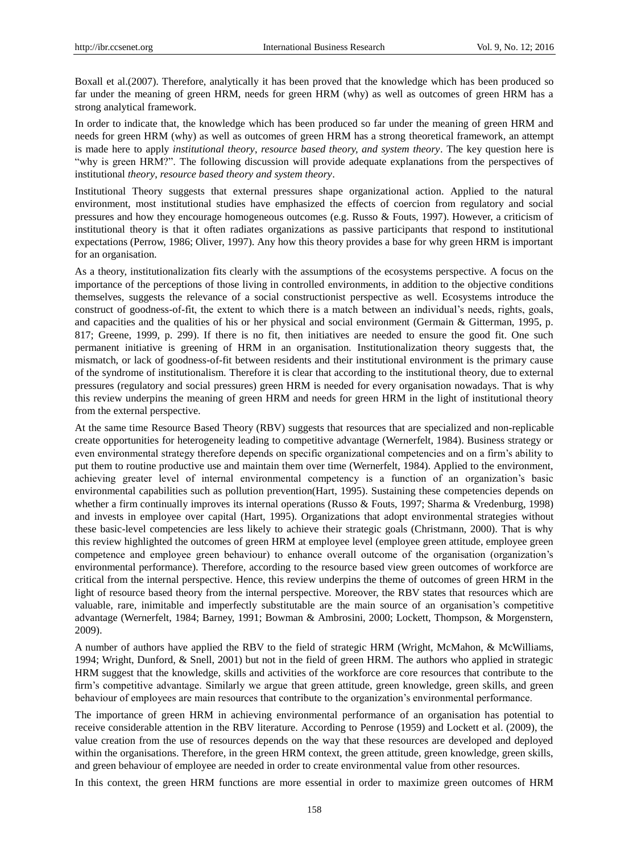Boxall et al.(2007). Therefore, analytically it has been proved that the knowledge which has been produced so far under the meaning of green HRM, needs for green HRM (why) as well as outcomes of green HRM has a strong analytical framework.

In order to indicate that, the knowledge which has been produced so far under the meaning of green HRM and needs for green HRM (why) as well as outcomes of green HRM has a strong theoretical framework, an attempt is made here to apply *institutional theory*, *resource based theory, and system theory*. The key question here is "why is green HRM?". The following discussion will provide adequate explanations from the perspectives of institutional *theory*, *resource based theory and system theory*.

Institutional Theory suggests that external pressures shape organizational action. Applied to the natural environment, most institutional studies have emphasized the effects of coercion from regulatory and social pressures and how they encourage homogeneous outcomes (e.g. Russo & Fouts, 1997). However, a criticism of institutional theory is that it often radiates organizations as passive participants that respond to institutional expectations (Perrow, 1986; Oliver, 1997). Any how this theory provides a base for why green HRM is important for an organisation.

As a theory, institutionalization fits clearly with the assumptions of the ecosystems perspective. A focus on the importance of the perceptions of those living in controlled environments, in addition to the objective conditions themselves, suggests the relevance of a social constructionist perspective as well. Ecosystems introduce the construct of goodness-of-fit, the extent to which there is a match between an individual"s needs, rights, goals, and capacities and the qualities of his or her physical and social environment (Germain & Gitterman, 1995, p. 817; Greene, 1999, p. 299). If there is no fit, then initiatives are needed to ensure the good fit. One such permanent initiative is greening of HRM in an organisation. Institutionalization theory suggests that, the mismatch, or lack of goodness-of-fit between residents and their institutional environment is the primary cause of the syndrome of institutionalism. Therefore it is clear that according to the institutional theory, due to external pressures (regulatory and social pressures) green HRM is needed for every organisation nowadays. That is why this review underpins the meaning of green HRM and needs for green HRM in the light of institutional theory from the external perspective.

At the same time Resource Based Theory (RBV) suggests that resources that are specialized and non-replicable create opportunities for heterogeneity leading to competitive advantage (Wernerfelt, 1984). Business strategy or even environmental strategy therefore depends on specific organizational competencies and on a firm"s ability to put them to routine productive use and maintain them over time (Wernerfelt, 1984). Applied to the environment, achieving greater level of internal environmental competency is a function of an organization"s basic environmental capabilities such as pollution prevention(Hart, 1995). Sustaining these competencies depends on whether a firm continually improves its internal operations (Russo & Fouts, 1997; Sharma & Vredenburg, 1998) and invests in employee over capital (Hart, 1995). Organizations that adopt environmental strategies without these basic-level competencies are less likely to achieve their strategic goals (Christmann, 2000). That is why this review highlighted the outcomes of green HRM at employee level (employee green attitude, employee green competence and employee green behaviour) to enhance overall outcome of the organisation (organization"s environmental performance). Therefore, according to the resource based view green outcomes of workforce are critical from the internal perspective. Hence, this review underpins the theme of outcomes of green HRM in the light of resource based theory from the internal perspective. Moreover, the RBV states that resources which are valuable, rare, inimitable and imperfectly substitutable are the main source of an organisation"s competitive advantage (Wernerfelt, 1984; Barney, 1991; Bowman & Ambrosini, 2000; Lockett, Thompson, & Morgenstern, 2009).

A number of authors have applied the RBV to the field of strategic HRM (Wright, McMahon, & McWilliams, 1994; Wright, Dunford, & Snell, 2001) but not in the field of green HRM. The authors who applied in strategic HRM suggest that the knowledge, skills and activities of the workforce are core resources that contribute to the firm"s competitive advantage. Similarly we argue that green attitude, green knowledge, green skills, and green behaviour of employees are main resources that contribute to the organization"s environmental performance.

The importance of green HRM in achieving environmental performance of an organisation has potential to receive considerable attention in the RBV literature. According to Penrose (1959) and Lockett et al. (2009), the value creation from the use of resources depends on the way that these resources are developed and deployed within the organisations. Therefore, in the green HRM context, the green attitude, green knowledge, green skills, and green behaviour of employee are needed in order to create environmental value from other resources.

In this context, the green HRM functions are more essential in order to maximize green outcomes of HRM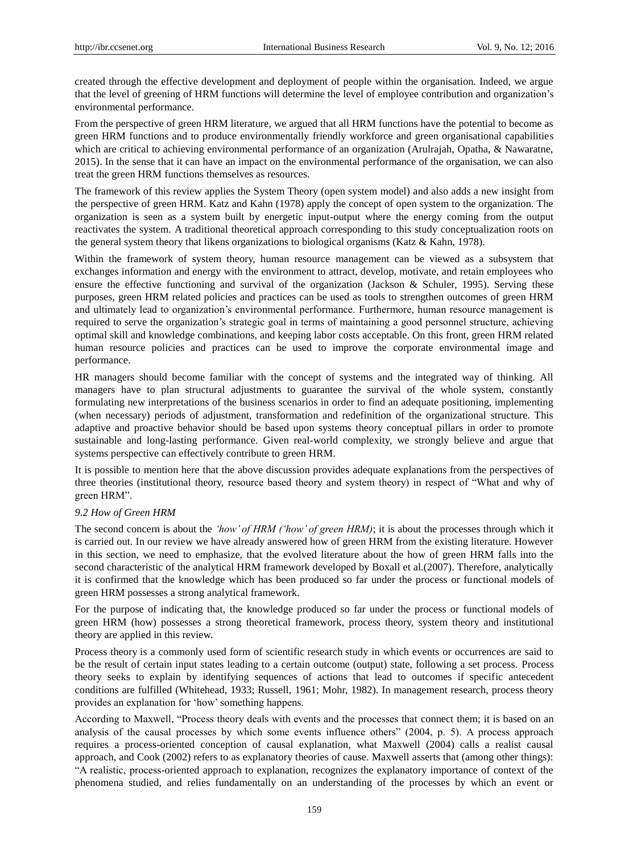created through the effective development and deployment of people within the organisation. Indeed, we argue that the level of greening of HRM functions will determine the level of employee contribution and organization"s environmental performance.

From the perspective of green HRM literature, we argued that all HRM functions have the potential to become as green HRM functions and to produce environmentally friendly workforce and green organisational capabilities which are critical to achieving environmental performance of an organization (Arulrajah, Opatha, & Nawaratne, 2015). In the sense that it can have an impact on the environmental performance of the organisation, we can also treat the green HRM functions themselves as resources.

The framework of this review applies the System Theory (open system model) and also adds a new insight from the perspective of green HRM. Katz and Kahn (1978) apply the concept of open system to the organization. The organization is seen as a system built by energetic input-output where the energy coming from the output reactivates the system. A traditional theoretical approach corresponding to this study conceptualization roots on the general system theory that likens organizations to biological organisms (Katz & Kahn, 1978).

Within the framework of system theory, human resource management can be viewed as a subsystem that exchanges information and energy with the environment to attract, develop, motivate, and retain employees who ensure the effective functioning and survival of the organization (Jackson & Schuler, 1995). Serving these purposes, green HRM related policies and practices can be used as tools to strengthen outcomes of green HRM and ultimately lead to organization"s environmental performance. Furthermore, human resource management is required to serve the organization"s strategic goal in terms of maintaining a good personnel structure, achieving optimal skill and knowledge combinations, and keeping labor costs acceptable. On this front, green HRM related human resource policies and practices can be used to improve the corporate environmental image and performance.

HR managers should become familiar with the concept of systems and the integrated way of thinking. All managers have to plan structural adjustments to guarantee the survival of the whole system, constantly formulating new interpretations of the business scenarios in order to find an adequate positioning, implementing (when necessary) periods of adjustment, transformation and redefinition of the organizational structure. This adaptive and proactive behavior should be based upon systems theory conceptual pillars in order to promote sustainable and long-lasting performance. Given real-world complexity, we strongly believe and argue that systems perspective can effectively contribute to green HRM.

It is possible to mention here that the above discussion provides adequate explanations from the perspectives of three theories (institutional theory, resource based theory and system theory) in respect of "What and why of green HRM".

#### *9.2 How of Green HRM*

The second concern is about the *'how' of HRM ('how' of green HRM)*; it is about the processes through which it is carried out. In our review we have already answered how of green HRM from the existing literature. However in this section, we need to emphasize, that the evolved literature about the how of green HRM falls into the second characteristic of the analytical HRM framework developed by Boxall et al.(2007). Therefore, analytically it is confirmed that the knowledge which has been produced so far under the process or functional models of green HRM possesses a strong analytical framework.

For the purpose of indicating that, the knowledge produced so far under the process or functional models of green HRM (how) possesses a strong theoretical framework, process theory, system theory and institutional theory are applied in this review.

Process theory is a commonly used form of scientific [research](http://en.wikipedia.org/wiki/Research) study in which events or occurrences are said to be the result of certain input states leading to a certain outcome (output) state, following a set process. Process theory seeks to explain by identifying sequences of actions that lead to outcomes if specific antecedent conditions are fulfilled (Whitehead, 1933; Russell, 1961; Mohr, 1982). In management research, process theory provides an explanation for "how" something happens.

According to Maxwell, "Process theory deals with events and the processes that connect them; it is based on an analysis of the causal processes by which some events influence others" (2004, p. 5). A process approach requires a process-oriented conception of causal explanation, what Maxwell (2004) calls a realist causal approach, and Cook (2002) refers to as explanatory theories of cause. Maxwell asserts that (among other things): "A realistic, process-oriented approach to explanation, recognizes the explanatory importance of context of the phenomena studied, and relies fundamentally on an understanding of the processes by which an event or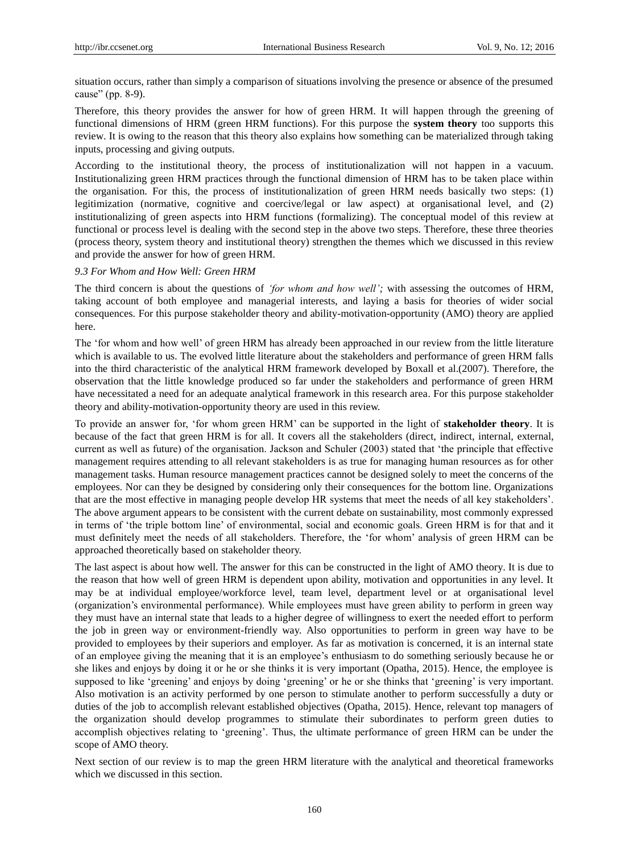situation occurs, rather than simply a comparison of situations involving the presence or absence of the presumed cause" (pp. 8-9).

Therefore, this theory provides the answer for how of green HRM. It will happen through the greening of functional dimensions of HRM (green HRM functions). For this purpose the **system theory** too supports this review. It is owing to the reason that this theory also explains how something can be materialized through taking inputs, processing and giving outputs.

According to the institutional theory, the process of institutionalization will not happen in a vacuum. Institutionalizing green HRM practices through the functional dimension of HRM has to be taken place within the organisation. For this, the process of institutionalization of green HRM needs basically two steps: (1) legitimization (normative, cognitive and coercive/legal or law aspect) at organisational level, and (2) institutionalizing of green aspects into HRM functions (formalizing). The conceptual model of this review at functional or process level is dealing with the second step in the above two steps. Therefore, these three theories (process theory, system theory and institutional theory) strengthen the themes which we discussed in this review and provide the answer for how of green HRM.

#### *9.3 For Whom and How Well: Green HRM*

The third concern is about the questions of *'for whom and how well';* with assessing the outcomes of HRM, taking account of both employee and managerial interests, and laying a basis for theories of wider social consequences. For this purpose stakeholder theory and ability-motivation-opportunity (AMO) theory are applied here.

The "for whom and how well" of green HRM has already been approached in our review from the little literature which is available to us. The evolved little literature about the stakeholders and performance of green HRM falls into the third characteristic of the analytical HRM framework developed by Boxall et al.(2007). Therefore, the observation that the little knowledge produced so far under the stakeholders and performance of green HRM have necessitated a need for an adequate analytical framework in this research area. For this purpose stakeholder theory and ability-motivation-opportunity theory are used in this review.

To provide an answer for, "for whom green HRM" can be supported in the light of **stakeholder theory**. It is because of the fact that green HRM is for all. It covers all the stakeholders (direct, indirect, internal, external, current as well as future) of the organisation. Jackson and Schuler (2003) stated that "the principle that effective management requires attending to all relevant stakeholders is as true for managing human resources as for other management tasks. Human resource management practices cannot be designed solely to meet the concerns of the employees. Nor can they be designed by considering only their consequences for the bottom line. Organizations that are the most effective in managing people develop HR systems that meet the needs of all key stakeholders". The above argument appears to be consistent with the current debate on sustainability, most commonly expressed in terms of "the triple bottom line" of environmental, social and economic goals. Green HRM is for that and it must definitely meet the needs of all stakeholders. Therefore, the "for whom" analysis of green HRM can be approached theoretically based on stakeholder theory.

The last aspect is about how well. The answer for this can be constructed in the light of AMO theory. It is due to the reason that how well of green HRM is dependent upon ability, motivation and opportunities in any level. It may be at individual employee/workforce level, team level, department level or at organisational level (organization"s environmental performance). While employees must have green ability to perform in green way they must have an internal state that leads to a higher degree of willingness to exert the needed effort to perform the job in green way or environment-friendly way. Also opportunities to perform in green way have to be provided to employees by their superiors and employer. As far as motivation is concerned, it is an internal state of an employee giving the meaning that it is an employee"s enthusiasm to do something seriously because he or she likes and enjoys by doing it or he or she thinks it is very important (Opatha, 2015). Hence, the employee is supposed to like 'greening' and enjoys by doing 'greening' or he or she thinks that 'greening' is very important. Also motivation is an activity performed by one person to stimulate another to perform successfully a duty or duties of the job to accomplish relevant established objectives (Opatha, 2015). Hence, relevant top managers of the organization should develop programmes to stimulate their subordinates to perform green duties to accomplish objectives relating to "greening". Thus, the ultimate performance of green HRM can be under the scope of AMO theory.

Next section of our review is to map the green HRM literature with the analytical and theoretical frameworks which we discussed in this section.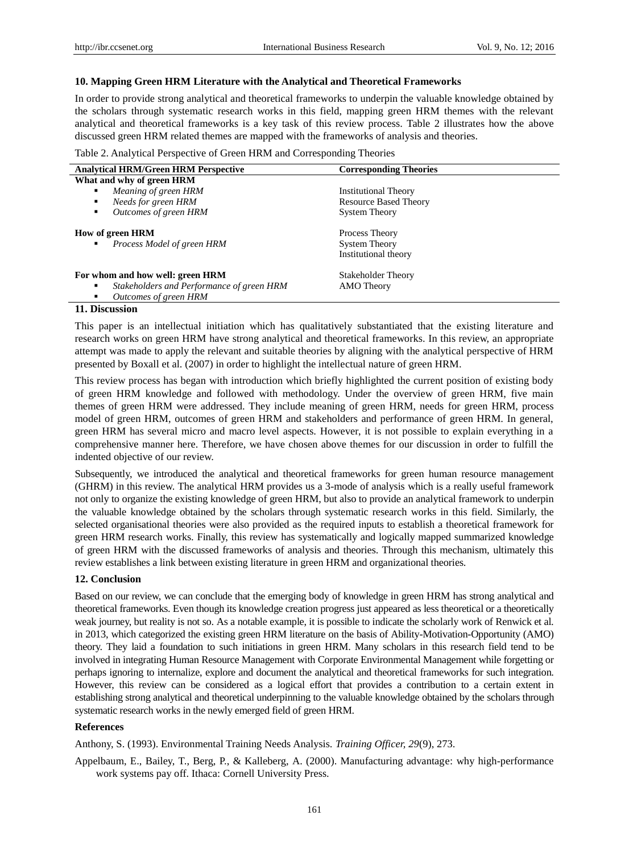#### **10. Mapping Green HRM Literature with the Analytical and Theoretical Frameworks**

In order to provide strong analytical and theoretical frameworks to underpin the valuable knowledge obtained by the scholars through systematic research works in this field, mapping green HRM themes with the relevant analytical and theoretical frameworks is a key task of this review process. Table 2 illustrates how the above discussed green HRM related themes are mapped with the frameworks of analysis and theories.

Table 2. Analytical Perspective of Green HRM and Corresponding Theories

| <b>Analytical HRM/Green HRM Perspective</b>    | <b>Corresponding Theories</b> |  |  |  |
|------------------------------------------------|-------------------------------|--|--|--|
| What and why of green HRM                      |                               |  |  |  |
| Meaning of green HRM<br>٠                      | <b>Institutional Theory</b>   |  |  |  |
| Needs for green HRM<br>٠                       | <b>Resource Based Theory</b>  |  |  |  |
| Outcomes of green HRM<br>л.                    | <b>System Theory</b>          |  |  |  |
| <b>How of green HRM</b>                        | Process Theory                |  |  |  |
| Process Model of green HRM<br>$\blacksquare$   | <b>System Theory</b>          |  |  |  |
|                                                | Institutional theory          |  |  |  |
| For whom and how well: green HRM               | <b>Stakeholder Theory</b>     |  |  |  |
| Stakeholders and Performance of green HRM<br>٠ | AMO Theory                    |  |  |  |
| Outcomes of green HRM<br>٠                     |                               |  |  |  |

#### **11. Discussion**

This paper is an intellectual initiation which has qualitatively substantiated that the existing literature and research works on green HRM have strong analytical and theoretical frameworks. In this review, an appropriate attempt was made to apply the relevant and suitable theories by aligning with the analytical perspective of HRM presented by Boxall et al. (2007) in order to highlight the intellectual nature of green HRM.

This review process has began with introduction which briefly highlighted the current position of existing body of green HRM knowledge and followed with methodology. Under the overview of green HRM, five main themes of green HRM were addressed. They include meaning of green HRM, needs for green HRM, process model of green HRM, outcomes of green HRM and stakeholders and performance of green HRM. In general, green HRM has several micro and macro level aspects. However, it is not possible to explain everything in a comprehensive manner here. Therefore, we have chosen above themes for our discussion in order to fulfill the indented objective of our review.

Subsequently, we introduced the analytical and theoretical frameworks for green human resource management (GHRM) in this review. The analytical HRM provides us a 3-mode of analysis which is a really useful framework not only to organize the existing knowledge of green HRM, but also to provide an analytical framework to underpin the valuable knowledge obtained by the scholars through systematic research works in this field. Similarly, the selected organisational theories were also provided as the required inputs to establish a theoretical framework for green HRM research works. Finally, this review has systematically and logically mapped summarized knowledge of green HRM with the discussed frameworks of analysis and theories. Through this mechanism, ultimately this review establishes a link between existing literature in green HRM and organizational theories.

#### **12. Conclusion**

Based on our review, we can conclude that the emerging body of knowledge in green HRM has strong analytical and theoretical frameworks. Even though its knowledge creation progress just appeared as less theoretical or a theoretically weak journey, but reality is not so. As a notable example, it is possible to indicate the scholarly work of Renwick et al. in 2013, which categorized the existing green HRM literature on the basis of Ability-Motivation-Opportunity (AMO) theory. They laid a foundation to such initiations in green HRM. Many scholars in this research field tend to be involved in integrating Human Resource Management with Corporate Environmental Management while forgetting or perhaps ignoring to internalize, explore and document the analytical and theoretical frameworks for such integration. However, this review can be considered as a logical effort that provides a contribution to a certain extent in establishing strong analytical and theoretical underpinning to the valuable knowledge obtained by the scholars through systematic research works in the newly emerged field of green HRM.

#### **References**

Anthony, S. (1993). Environmental Training Needs Analysis. *Training Officer, 29*(9), 273.

Appelbaum, E., Bailey, T., Berg, P., & Kalleberg, A. (2000). Manufacturing advantage: why high-performance work systems pay off. Ithaca: Cornell University Press.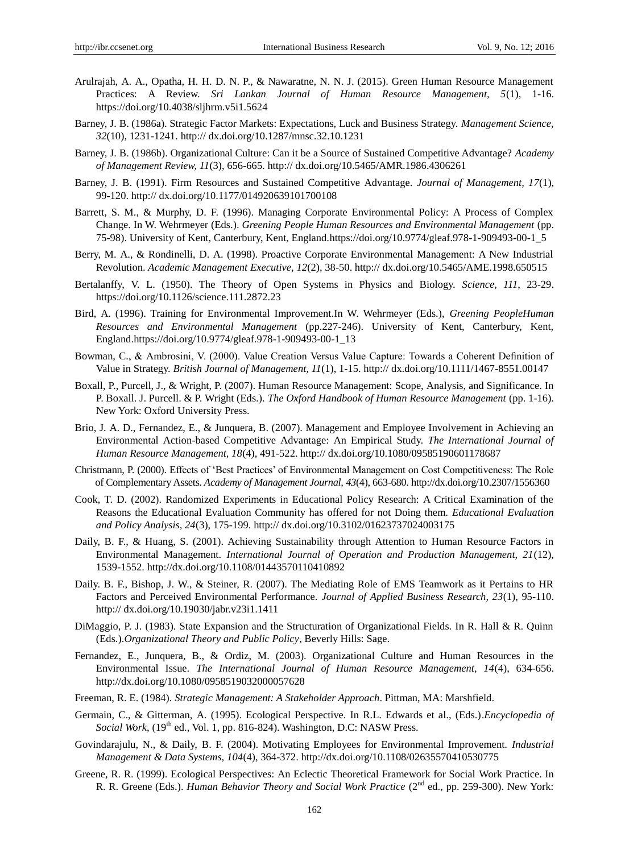- Arulrajah, A. A., Opatha, H. H. D. N. P., & Nawaratne, N. N. J. (2015). Green Human Resource Management Practices: A Review. *Sri Lankan Journal of Human Resource Management, 5*(1), 1-16. <https://doi.org/10.4038/sljhrm.v5i1.5624>
- Barney, J. B. (1986a). Strategic Factor Markets: Expectations, Luck and Business Strategy. *Management Science, 32*(10), 1231-1241. http:// dx.doi.org/10.1287/mnsc.32.10.1231
- Barney, J. B. (1986b). Organizational Culture: Can it be a Source of Sustained Competitive Advantage? *Academy of Management Review, 11*(3), 656-665. http:// dx.doi.org/10.5465/AMR.1986.4306261
- Barney, J. B. (1991). Firm Resources and Sustained Competitive Advantage. *Journal of Management, 17*(1), 99-120. http:// dx.doi.org/10.1177/014920639101700108
- Barrett, S. M., & Murphy, D. F. (1996). Managing Corporate Environmental Policy: A Process of Complex Change. In W. Wehrmeyer (Eds.). *Greening People Human Resources and Environmental Management* (pp. 75-98). University of Kent, Canterbury, Kent, England[.https://doi.org/10.9774/gleaf.978-1-909493-00-1\\_5](https://doi.org/10.9774/gleaf.978-1-909493-00-1_5)
- Berry, M. A., & Rondinelli, D. A. (1998). Proactive Corporate Environmental Management: A New Industrial Revolution. *Academic Management Executive, 12*(2), 38-50. http:// dx.doi.org/10.5465/AME.1998.650515
- Bertalanffy, V. L. (1950). The Theory of Open Systems in Physics and Biology. *Science, 111*, 23-29. <https://doi.org/10.1126/science.111.2872.23>
- Bird, A. (1996). Training for Environmental Improvement.In W. Wehrmeyer (Eds.), *Greening PeopleHuman Resources and Environmental Management* (pp.227-246). University of Kent, Canterbury, Kent, Englan[d.https://doi.org/10.9774/gleaf.978-1-909493-00-1\\_13](https://doi.org/10.9774/gleaf.978-1-909493-00-1_13)
- Bowman, C., & Ambrosini, V. (2000). Value Creation Versus Value Capture: Towards a Coherent Definition of Value in Strategy. *British Journal of Management, 11*(1), 1-15. http:// dx.doi.org/10.1111/1467-8551.00147
- Boxall, P., Purcell, J., & Wright, P. (2007). Human Resource Management: Scope, Analysis, and Significance. In P. Boxall. J. Purcell. & P. Wright (Eds.). *The Oxford Handbook of Human Resource Management* (pp. 1-16). New York: Oxford University Press.
- Brio, J. A. D., Fernandez, E., & Junquera, B. (2007). Management and Employee Involvement in Achieving an Environmental Action-based Competitive Advantage: An Empirical Study. *The International Journal of Human Resource Management, 18*(4), 491-522. http:// dx.doi.org/10.1080/09585190601178687
- Christmann, P. (2000). Effects of "Best Practices" of Environmental Management on Cost Competitiveness: The Role of Complementary Assets. *Academy of Management Journal, 43*(4), 663-680. http://dx.doi.org/10.2307/1556360
- Cook, T. D. (2002). Randomized Experiments in Educational Policy Research: A Critical Examination of the Reasons the Educational Evaluation Community has offered for not Doing them. *Educational Evaluation and Policy Analysis, 24*(3), 175-199. http:// dx.doi.org/10.3102/01623737024003175
- Daily, B. F., & Huang, S. (2001). Achieving Sustainability through Attention to Human Resource Factors in Environmental Management. *International Journal of Operation and Production Management, 21*(12), 1539-1552. http://dx.doi.org/10.1108/01443570110410892
- Daily. B. F., Bishop, J. W., & Steiner, R. (2007). The Mediating Role of EMS Teamwork as it Pertains to HR Factors and Perceived Environmental Performance. *Journal of Applied Business Research, 23*(1), 95-110. http:// dx.doi.org/10.19030/jabr.v23i1.1411
- DiMaggio, P. J. (1983). State Expansion and the Structuration of Organizational Fields. In R. Hall & R. Quinn (Eds.).*Organizational Theory and Public Policy*, Beverly Hills: Sage.
- Fernandez, E., Junquera, B., & Ordiz, M. (2003). Organizational Culture and Human Resources in the Environmental Issue. *The International Journal of Human Resource Management, 14*(4), 634-656. http://dx.doi.org/10.1080/0958519032000057628
- Freeman, R. E. (1984). *Strategic Management: A Stakeholder Approach*. Pittman, MA: Marshfield.
- Germain, C., & Gitterman, A. (1995). Ecological Perspective. In R.L. Edwards et al., (Eds.).*Encyclopedia of Social Work*,  $(19<sup>th</sup>$  ed., Vol. 1, pp. 816-824). Washington, D.C: NASW Press.
- Govindarajulu, N., & Daily, B. F. (2004). Motivating Employees for Environmental Improvement. *Industrial Management & Data Systems, 104*(4), 364-372. http://dx.doi.org/10.1108/02635570410530775
- Greene, R. R. (1999). Ecological Perspectives: An Eclectic Theoretical Framework for Social Work Practice. In R. R. Greene (Eds.). *Human Behavior Theory and Social Work Practice* (2nd ed., pp. 259-300). New York: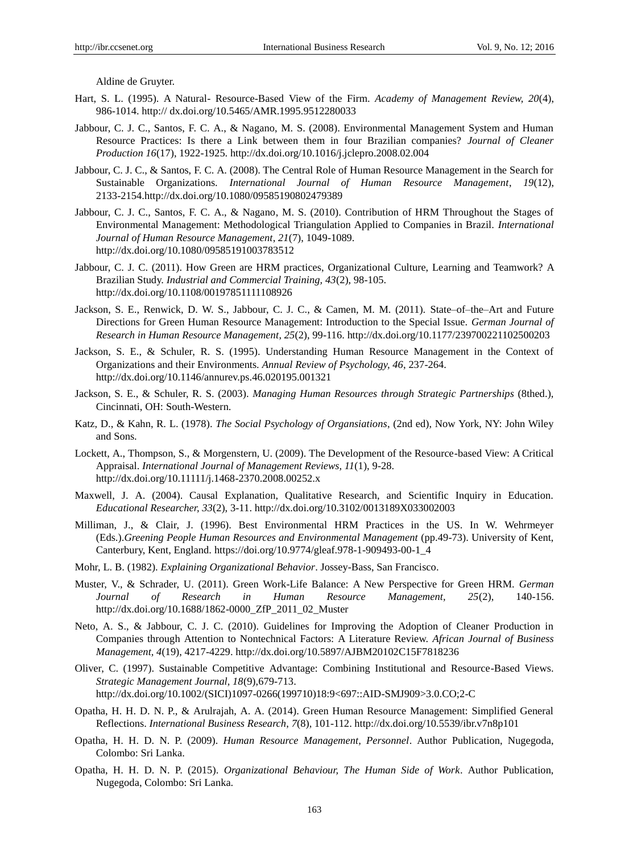Aldine de Gruyter.

- Hart, S. L. (1995). A Natural- Resource-Based View of the Firm. *Academy of Management Review, 20*(4), 986-1014. http:// dx.doi.org/10.5465/AMR.1995.9512280033
- Jabbour, C. J. C., Santos, F. C. A., & Nagano, M. S. (2008). Environmental Management System and Human Resource Practices: Is there a Link between them in four Brazilian companies? *Journal of Cleaner Production 16*(17), 1922-1925. http://dx.doi.org/10.1016/j.jclepro.2008.02.004
- Jabbour, C. J. C., & Santos, F. C. A. (2008). The Central Role of Human Resource Management in the Search for Sustainable Organizations. *International Journal of Human Resource Management*, *19*(12), 2133-2154.http://dx.doi.org/10.1080/09585190802479389
- Jabbour, C. J. C., Santos, F. C. A., & Nagano, M. S. (2010). Contribution of HRM Throughout the Stages of Environmental Management: Methodological Triangulation Applied to Companies in Brazil. *International Journal of Human Resource Management*, *21*(7), 1049-1089. <http://dx.doi.org/10.1080/09585191003783512>
- Jabbour, C. J. C. (2011). How Green are HRM practices, Organizational Culture, Learning and Teamwork? A Brazilian Study. *Industrial and Commercial Training, 43*(2), 98-105. http://dx.doi.org/10.1108/00197851111108926
- Jackson, S. E., Renwick, D. W. S., Jabbour, C. J. C., & Camen, M. M. (2011). State–of–the–Art and Future Directions for Green Human Resource Management: Introduction to the Special Issue. *German Journal of Research in Human Resource Management*, *25*(2), 99-116[. http://dx.doi.org/10.1177/239700221102500203](http://dx.doi.org/10.1177/239700221102500203)
- Jackson, S. E., & Schuler, R. S. (1995). Understanding Human Resource Management in the Context of Organizations and their Environments. *Annual Review of Psychology, 46*, 237-264. http://dx.doi.org/10.1146/annurev.ps.46.020195.001321
- Jackson, S. E., & Schuler, R. S. (2003). *Managing Human Resources through Strategic Partnerships* (8thed.), Cincinnati, OH: South-Western.
- Katz, D., & Kahn, R. L. (1978). *The Social Psychology of Organsiations*, (2nd ed), Now York, NY: John Wiley and Sons.
- Lockett, A., Thompson, S., & Morgenstern, U. (2009). The Development of the Resource-based View: A Critical Appraisal. *International Journal of Management Reviews, 11*(1), 9-28. <http://dx.doi.org/10.11111/j.1468-2370.2008.00252.x>
- Maxwell, J. A. (2004). Causal Explanation, Qualitative Research, and Scientific Inquiry in Education. *Educational Researcher, 33*(2), 3-11. http://dx.doi.org/10.3102/0013189X033002003
- Milliman, J., & Clair, J. (1996). Best Environmental HRM Practices in the US. In W. Wehrmeyer (Eds.).*Greening People Human Resources and Environmental Management* (pp.49-73). University of Kent, Canterbury, Kent, England. [https://doi.org/10.9774/gleaf.978-1-909493-00-1\\_4](https://doi.org/10.9774/gleaf.978-1-909493-00-1_4)
- Mohr, L. B. (1982). *Explaining Organizational Behavior*. Jossey-Bass, San Francisco.
- Muster, V., & Schrader, U. (2011). Green Work-Life Balance: A New Perspective for Green HRM. *German Journal of Research in Human Resource Management, 25*(2), 140-156. http://dx.doi.org/10.1688/1862-0000\_ZfP\_2011\_02\_Muster
- Neto, A. S., & Jabbour, C. J. C. (2010). Guidelines for Improving the Adoption of Cleaner Production in Companies through Attention to Nontechnical Factors: A Literature Review. *African Journal of Business Management, 4*(19), 4217-4229. http://dx.doi.org/10.5897/AJBM20102C15F7818236
- Oliver, C. (1997). Sustainable Competitive Advantage: Combining Institutional and Resource-Based Views. *Strategic Management Journal, 18*(9),679-713. http://dx.doi.org/10.1002/(SICI)1097-0266(199710)18:9<697::AID-SMJ909>3.0.CO;2-C
- Opatha, H. H. D. N. P., & Arulrajah, A. A. (2014). Green Human Resource Management: Simplified General Reflections. *International Business Research*, *7*(8), 101-112[. http://dx.doi.org/10.5539/ibr.v7n8p101](http://dx.doi.org/10.5539/ibr.v7n8p101)
- Opatha, H. H. D. N. P. (2009). *Human Resource Management, Personnel*. Author Publication, Nugegoda, Colombo: Sri Lanka.
- Opatha, H. H. D. N. P. (2015). *Organizational Behaviour, The Human Side of Work*. Author Publication, Nugegoda, Colombo: Sri Lanka.